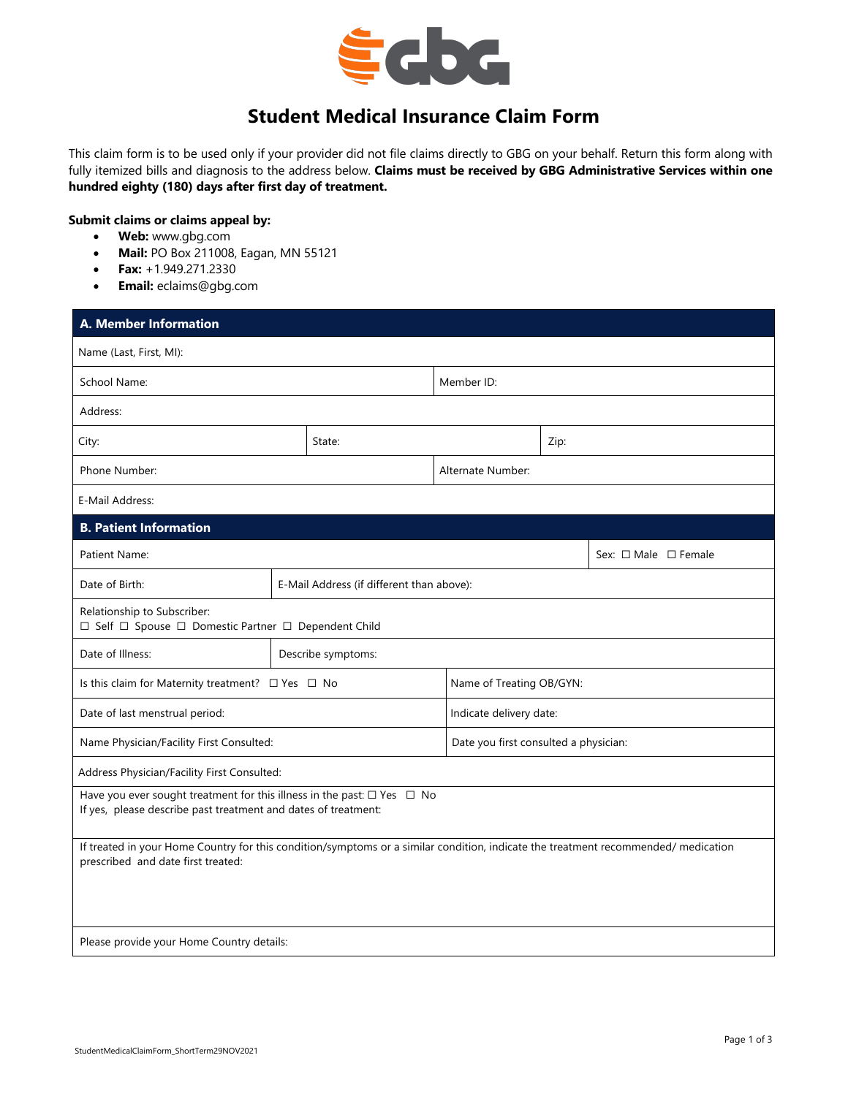

# **Student Medical Insurance Claim Form**

This claim form is to be used only if your provider did not file claims directly to GBG on your behalf. Return this form along with fully itemized bills and diagnosis to the address below. **Claims must be received by GBG Administrative Services within one hundred eighty (180) days after first day of treatment.**

## **Submit claims or claims appeal by:**

- **Web:** www.gbg.com
- **Mail:** PO Box 211008, Eagan, MN 55121
- **Fax:** +1.949.271.2330
- **Email:** eclaims@gbg.com

| <b>A. Member Information</b>                                                                                                                                             |                                           |                                       |                         |  |                                |  |  |
|--------------------------------------------------------------------------------------------------------------------------------------------------------------------------|-------------------------------------------|---------------------------------------|-------------------------|--|--------------------------------|--|--|
| Name (Last, First, MI):                                                                                                                                                  |                                           |                                       |                         |  |                                |  |  |
| School Name:                                                                                                                                                             |                                           |                                       | Member ID:              |  |                                |  |  |
| Address:                                                                                                                                                                 |                                           |                                       |                         |  |                                |  |  |
| City:                                                                                                                                                                    |                                           | State:                                |                         |  | Zip:                           |  |  |
| Phone Number:                                                                                                                                                            |                                           | Alternate Number:                     |                         |  |                                |  |  |
| E-Mail Address:                                                                                                                                                          |                                           |                                       |                         |  |                                |  |  |
| <b>B. Patient Information</b>                                                                                                                                            |                                           |                                       |                         |  |                                |  |  |
| Patient Name:                                                                                                                                                            |                                           |                                       |                         |  | Sex: $\Box$ Male $\Box$ Female |  |  |
| Date of Birth:                                                                                                                                                           | E-Mail Address (if different than above): |                                       |                         |  |                                |  |  |
| Relationship to Subscriber:<br>□ Self □ Spouse □ Domestic Partner □ Dependent Child                                                                                      |                                           |                                       |                         |  |                                |  |  |
| Date of Illness:                                                                                                                                                         | Describe symptoms:                        |                                       |                         |  |                                |  |  |
| Is this claim for Maternity treatment? □ Yes □ No                                                                                                                        |                                           | Name of Treating OB/GYN:              |                         |  |                                |  |  |
| Date of last menstrual period:                                                                                                                                           |                                           |                                       | Indicate delivery date: |  |                                |  |  |
| Name Physician/Facility First Consulted:                                                                                                                                 |                                           | Date you first consulted a physician: |                         |  |                                |  |  |
| Address Physician/Facility First Consulted:                                                                                                                              |                                           |                                       |                         |  |                                |  |  |
| Have you ever sought treatment for this illness in the past: $\Box$ Yes $\Box$ No<br>If yes, please describe past treatment and dates of treatment:                      |                                           |                                       |                         |  |                                |  |  |
| If treated in your Home Country for this condition/symptoms or a similar condition, indicate the treatment recommended/ medication<br>prescribed and date first treated: |                                           |                                       |                         |  |                                |  |  |
| Please provide your Home Country details:                                                                                                                                |                                           |                                       |                         |  |                                |  |  |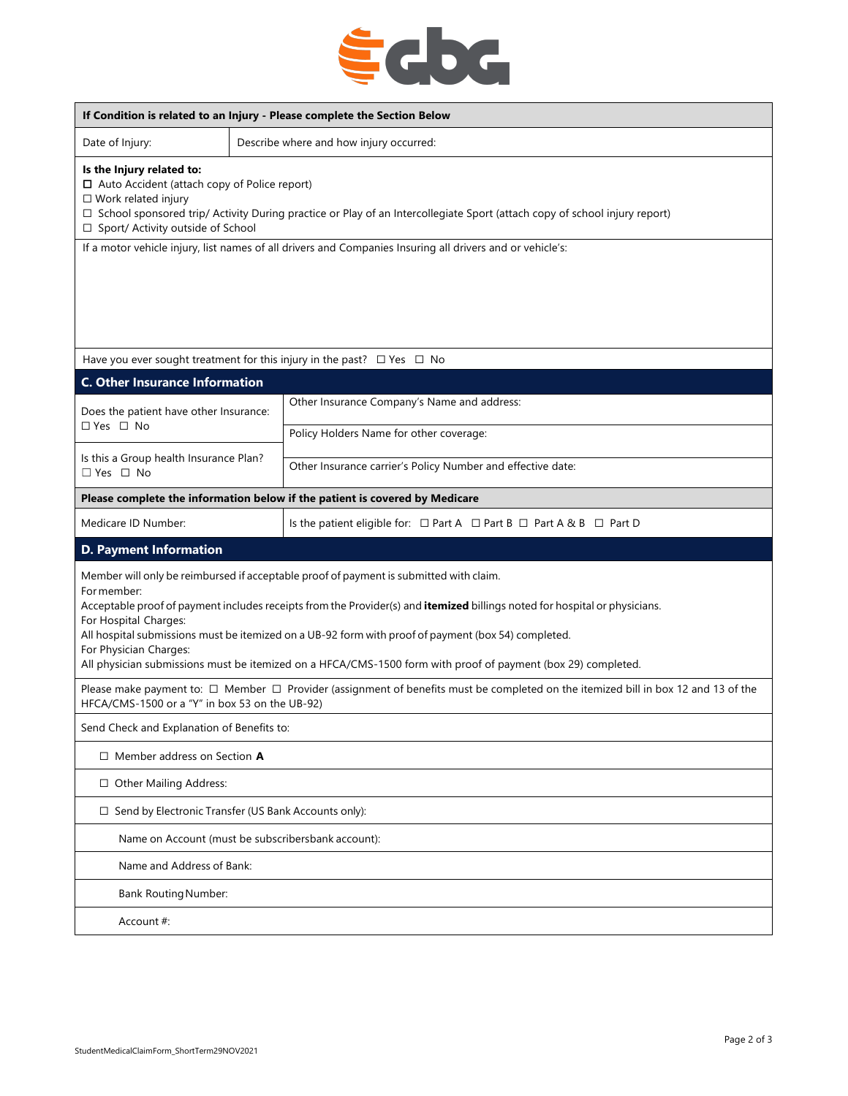

| If Condition is related to an Injury - Please complete the Section Below                                                                                                                                                                                                                                                                                                                                                                                                                                      |  |                                                                                          |  |  |  |
|---------------------------------------------------------------------------------------------------------------------------------------------------------------------------------------------------------------------------------------------------------------------------------------------------------------------------------------------------------------------------------------------------------------------------------------------------------------------------------------------------------------|--|------------------------------------------------------------------------------------------|--|--|--|
| Date of Injury:                                                                                                                                                                                                                                                                                                                                                                                                                                                                                               |  | Describe where and how injury occurred:                                                  |  |  |  |
| Is the Injury related to:<br>$\Box$ Auto Accident (attach copy of Police report)<br>$\square$ Work related injury<br>□ School sponsored trip/ Activity During practice or Play of an Intercollegiate Sport (attach copy of school injury report)<br>□ Sport/ Activity outside of School                                                                                                                                                                                                                       |  |                                                                                          |  |  |  |
| If a motor vehicle injury, list names of all drivers and Companies Insuring all drivers and or vehicle's:                                                                                                                                                                                                                                                                                                                                                                                                     |  |                                                                                          |  |  |  |
|                                                                                                                                                                                                                                                                                                                                                                                                                                                                                                               |  |                                                                                          |  |  |  |
|                                                                                                                                                                                                                                                                                                                                                                                                                                                                                                               |  | Have you ever sought treatment for this injury in the past? $\Box$ Yes $\Box$ No         |  |  |  |
| <b>C. Other Insurance Information</b>                                                                                                                                                                                                                                                                                                                                                                                                                                                                         |  |                                                                                          |  |  |  |
| Does the patient have other Insurance:<br>□ Yes □ No                                                                                                                                                                                                                                                                                                                                                                                                                                                          |  | Other Insurance Company's Name and address:                                              |  |  |  |
|                                                                                                                                                                                                                                                                                                                                                                                                                                                                                                               |  | Policy Holders Name for other coverage:                                                  |  |  |  |
| Is this a Group health Insurance Plan?<br>$\Box$ Yes $\Box$ No                                                                                                                                                                                                                                                                                                                                                                                                                                                |  | Other Insurance carrier's Policy Number and effective date:                              |  |  |  |
|                                                                                                                                                                                                                                                                                                                                                                                                                                                                                                               |  | Please complete the information below if the patient is covered by Medicare              |  |  |  |
| Medicare ID Number:                                                                                                                                                                                                                                                                                                                                                                                                                                                                                           |  | Is the patient eligible for: $\Box$ Part A $\Box$ Part B $\Box$ Part A & B $\Box$ Part D |  |  |  |
| <b>D. Payment Information</b>                                                                                                                                                                                                                                                                                                                                                                                                                                                                                 |  |                                                                                          |  |  |  |
| Member will only be reimbursed if acceptable proof of payment is submitted with claim.<br>For member:<br>Acceptable proof of payment includes receipts from the Provider(s) and itemized billings noted for hospital or physicians.<br>For Hospital Charges:<br>All hospital submissions must be itemized on a UB-92 form with proof of payment (box 54) completed.<br>For Physician Charges:<br>All physician submissions must be itemized on a HFCA/CMS-1500 form with proof of payment (box 29) completed. |  |                                                                                          |  |  |  |
| Please make payment to: □ Member □ Provider (assignment of benefits must be completed on the itemized bill in box 12 and 13 of the<br>HFCA/CMS-1500 or a "Y" in box 53 on the UB-92)                                                                                                                                                                                                                                                                                                                          |  |                                                                                          |  |  |  |
| Send Check and Explanation of Benefits to:                                                                                                                                                                                                                                                                                                                                                                                                                                                                    |  |                                                                                          |  |  |  |
| $\Box$ Member address on Section A                                                                                                                                                                                                                                                                                                                                                                                                                                                                            |  |                                                                                          |  |  |  |
| □ Other Mailing Address:                                                                                                                                                                                                                                                                                                                                                                                                                                                                                      |  |                                                                                          |  |  |  |
| □ Send by Electronic Transfer (US Bank Accounts only):                                                                                                                                                                                                                                                                                                                                                                                                                                                        |  |                                                                                          |  |  |  |
| Name on Account (must be subscribersbank account):                                                                                                                                                                                                                                                                                                                                                                                                                                                            |  |                                                                                          |  |  |  |
| Name and Address of Bank:                                                                                                                                                                                                                                                                                                                                                                                                                                                                                     |  |                                                                                          |  |  |  |
| <b>Bank Routing Number:</b>                                                                                                                                                                                                                                                                                                                                                                                                                                                                                   |  |                                                                                          |  |  |  |
| Account#:                                                                                                                                                                                                                                                                                                                                                                                                                                                                                                     |  |                                                                                          |  |  |  |